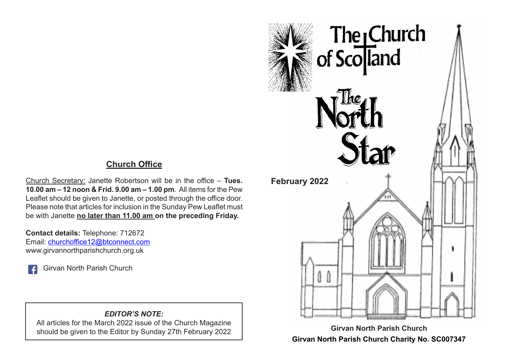# **Church Office**

Church Secretary: Janette Robertson will be in the office – **Tues. 10.00 am – 12 noon & Frid. 9.00 am – 1.00 pm**. All items for the Pew Leaflet should be given to Janette, or posted through the office door. Please note that articles for inclusion in the Sunday Pew Leaflet must be with Janette **no later than 11.00 am on the preceding Friday.**

**Contact details:** Telephone: 712672 Email: churchoffice12@btconnect.com www.girvannorthparishchurch.org.uk

Girvan North Parish Church

#### *EDITOR'S NOTE:*

All articles for the March 2022 issue of the Church Magazine should be given to the Editor by Sunday 27th February 2022



**Girvan North Parish Church Girvan North Parish Church Charity No. SC007347**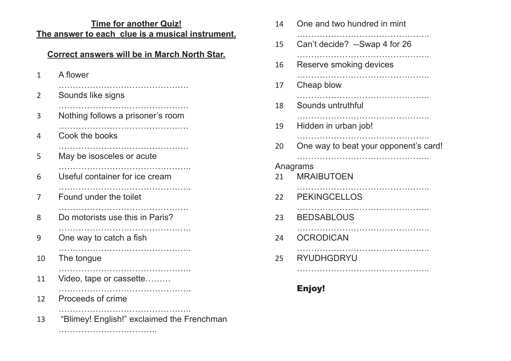# **Time for another Quiz! The answer to each clue is a musical instrument.**

## **Correct answers will be in March North Star.**

| A flower                                   |
|--------------------------------------------|
| Sounds like signs                          |
| Nothing follows a prisoner's room          |
| Cook the books                             |
| May be isosceles or acute                  |
| Useful container for ice cream             |
| Found under the toilet                     |
| Do motorists use this in Paris?            |
| .<br>One way to catch a fish               |
| The tongue                                 |
| Video, tape or cassette                    |
| Proceeds of crime                          |
| "Blimey! English!" exclaimed the Frenchman |
|                                            |

……………………………..

| 14 | One and two hundred in mint           |
|----|---------------------------------------|
| 15 | Can't decide? --Swap 4 for 26         |
| 16 | .<br>Reserve smoking devices          |
| 17 | Cheap blow                            |
| 18 | Sounds untruthful                     |
| 19 | Hidden in urban job!                  |
| 20 | One way to beat your opponent's card! |
| 21 | Anagrams<br><b>MRAIBUTOEN</b>         |
| 22 | <b>PEKINGCELLOS</b>                   |
| 23 | <b>BEDSABLOUS</b>                     |
| 24 | <b>OCRODICAN</b>                      |
| 25 | RYUDHGDRYU                            |
|    |                                       |

# Enjoy!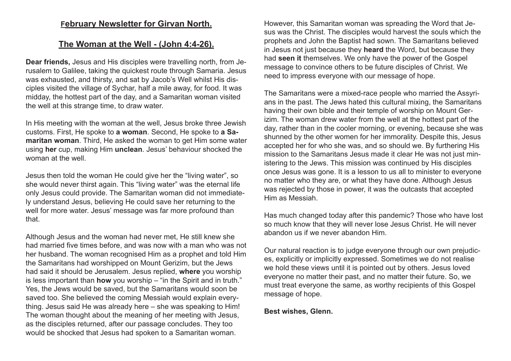#### **February Newsletter for Girvan North.**

### **The Woman at the Well - (John 4:4-26).**

**Dear friends,** Jesus and His disciples were travelling north, from Jerusalem to Galilee, taking the quickest route through Samaria. Jesus was exhausted, and thirsty, and sat by Jacob's Well whilst His disciples visited the village of Sychar, half a mile away, for food. It was midday, the hottest part of the day, and a Samaritan woman visited the well at this strange time, to draw water.

In His meeting with the woman at the well, Jesus broke three Jewish customs. First, He spoke to **a woman**. Second, He spoke to **a Samaritan woman**. Third, He asked the woman to get Him some water using **her** cup, making Him **unclean**. Jesus' behaviour shocked the woman at the well

Jesus then told the woman He could give her the "living water", so she would never thirst again. This "living water" was the eternal life only Jesus could provide. The Samaritan woman did not immediately understand Jesus, believing He could save her returning to the well for more water. Jesus' message was far more profound than that.

Although Jesus and the woman had never met, He still knew she had married five times before, and was now with a man who was not her husband. The woman recognised Him as a prophet and told Him the Samaritans had worshipped on Mount Gerizim, but the Jews had said it should be Jerusalem. Jesus replied, **where** you worship is less important than **how** you worship – "in the Spirit and in truth." Yes, the Jews would be saved, but the Samaritans would soon be saved too. She believed the coming Messiah would explain everything. Jesus said He was already here – she was speaking to Him! The woman thought about the meaning of her meeting with Jesus, as the disciples returned, after our passage concludes. They too would be shocked that Jesus had spoken to a Samaritan woman.

However, this Samaritan woman was spreading the Word that Jesus was the Christ. The disciples would harvest the souls which the prophets and John the Baptist had sown. The Samaritans believed in Jesus not just because they **heard** the Word, but because they had **seen it** themselves. We only have the power of the Gospel message to convince others to be future disciples of Christ. We need to impress everyone with our message of hope.

The Samaritans were a mixed-race people who married the Assyrians in the past. The Jews hated this cultural mixing, the Samaritans having their own bible and their temple of worship on Mount Gerizim. The woman drew water from the well at the hottest part of the day, rather than in the cooler morning, or evening, because she was shunned by the other women for her immorality. Despite this, Jesus accepted her for who she was, and so should we. By furthering His mission to the Samaritans Jesus made it clear He was not just ministering to the Jews. This mission was continued by His disciples once Jesus was gone. It is a lesson to us all to minister to everyone no matter who they are, or what they have done. Although Jesus was rejected by those in power, it was the outcasts that accepted Him as Messiah.

Has much changed today after this pandemic? Those who have lost so much know that they will never lose Jesus Christ. He will never abandon us if we never abandon Him.

Our natural reaction is to judge everyone through our own prejudices, explicitly or implicitly expressed. Sometimes we do not realise we hold these views until it is pointed out by others. Jesus loved everyone no matter their past, and no matter their future. So, we must treat everyone the same, as worthy recipients of this Gospel message of hope.

#### **Best wishes, Glenn.**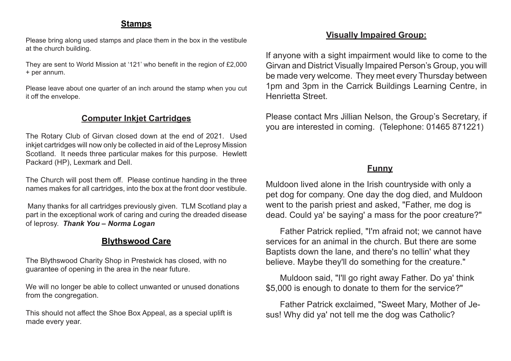#### **Stamps**

Please bring along used stamps and place them in the box in the vestibule at the church building.

They are sent to World Mission at '121' who benefit in the region of £2,000 + per annum.

Please leave about one quarter of an inch around the stamp when you cut it off the envelope.

#### **Computer Inkjet Cartridges**

The Rotary Club of Girvan closed down at the end of 2021. Used inkjet cartridges will now only be collected in aid of the Leprosy Mission Scotland. It needs three particular makes for this purpose. Hewlett Packard (HP), Lexmark and Dell.

The Church will post them off. Please continue handing in the three names makes for all cartridges, into the box at the front door vestibule.

 Many thanks for all cartridges previously given. TLM Scotland play a part in the exceptional work of caring and curing the dreaded disease of leprosy. *Thank You – Norma Logan*

### **Blythswood Care**

The Blythswood Charity Shop in Prestwick has closed, with no guarantee of opening in the area in the near future.

We will no longer be able to collect unwanted or unused donations from the congregation.

This should not affect the Shoe Box Appeal, as a special uplift is made every year.

### **Visually Impaired Group:**

If anyone with a sight impairment would like to come to the Girvan and District Visually Impaired Person's Group, you will be made very welcome. They meet every Thursday between 1pm and 3pm in the Carrick Buildings Learning Centre, in Henrietta Street.

Please contact Mrs Jillian Nelson, the Group's Secretary, if you are interested in coming. (Telephone: 01465 871221)

### **Funny**

Muldoon lived alone in the Irish countryside with only a pet dog for company. One day the dog died, and Muldoon went to the parish priest and asked, "Father, me dog is dead. Could ya' be saying' a mass for the poor creature?"

 Father Patrick replied, "I'm afraid not; we cannot have services for an animal in the church. But there are some Baptists down the lane, and there's no tellin' what they believe. Maybe they'll do something for the creature."

 Muldoon said, "I'll go right away Father. Do ya' think \$5,000 is enough to donate to them for the service?"

 Father Patrick exclaimed, "Sweet Mary, Mother of Jesus! Why did ya' not tell me the dog was Catholic?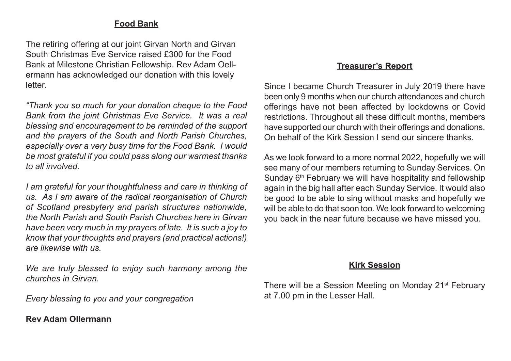#### **Food Bank**

The retiring offering at our joint Girvan North and Girvan South Christmas Eve Service raised £300 for the Food Bank at Milestone Christian Fellowship. Rev Adam Oellermann has acknowledged our donation with this lovely letter.

*"Thank you so much for your donation cheque to the Food Bank from the joint Christmas Eve Service. It was a real blessing and encouragement to be reminded of the support and the prayers of the South and North Parish Churches, especially over a very busy time for the Food Bank. I would be most grateful if you could pass along our warmest thanks to all involved.*

*I am grateful for your thoughtfulness and care in thinking of us. As I am aware of the radical reorganisation of Church of Scotland presbytery and parish structures nationwide, the North Parish and South Parish Churches here in Girvan have been very much in my prayers of late. It is such a joy to know that your thoughts and prayers (and practical actions!) are likewise with us.* 

*We are truly blessed to enjoy such harmony among the churches in Girvan.*

*Every blessing to you and your congregation*

#### **Rev Adam Ollermann**

#### **Treasurer's Report**

Since I became Church Treasurer in July 2019 there have been only 9 months when our church attendances and church offerings have not been affected by lockdowns or Covid restrictions. Throughout all these difficult months, members have supported our church with their offerings and donations. On behalf of the Kirk Session I send our sincere thanks.

As we look forward to a more normal 2022, hopefully we will see many of our members returning to Sunday Services. On Sunday 6<sup>th</sup> February we will have hospitality and fellowship again in the big hall after each Sunday Service. It would also be good to be able to sing without masks and hopefully we will be able to do that soon too. We look forward to welcoming you back in the near future because we have missed you.

#### **Kirk Session**

There will be a Session Meeting on Monday 21<sup>st</sup> February at 7.00 pm in the Lesser Hall.